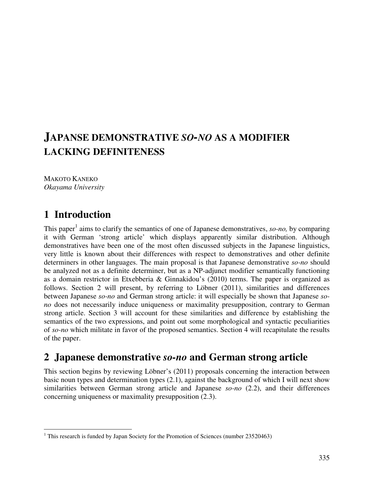# **JAPANSE DEMONSTRATIVE** *SO-NO* **AS A MODIFIER LACKING DEFINITENESS**

MAKOTO KANEKO *Okayama University* 

# **1 Introduction**

 $\overline{a}$ 

This paper<sup>1</sup> aims to clarify the semantics of one of Japanese demonstratives, *so-no*, by comparing it with German 'strong article' which displays apparently similar distribution. Although demonstratives have been one of the most often discussed subjects in the Japanese linguistics, very little is known about their differences with respect to demonstratives and other definite determiners in other languages. The main proposal is that Japanese demonstrative *so-no* should be analyzed not as a definite determiner, but as a NP-adjunct modifier semantically functioning as a domain restrictor in Etxebberia & Ginnakidou's (2010) terms. The paper is organized as follows. Section 2 will present, by referring to Löbner (2011), similarities and differences between Japanese *so-no* and German strong article: it will especially be shown that Japanese *sono* does not necessarily induce uniqueness or maximality presupposition, contrary to German strong article. Section 3 will account for these similarities and difference by establishing the semantics of the two expressions, and point out some morphological and syntactic peculiarities of *so-no* which militate in favor of the proposed semantics. Section 4 will recapitulate the results of the paper.

### **2 Japanese demonstrative** *so-no* **and German strong article**

This section begins by reviewing Löbner's (2011) proposals concerning the interaction between basic noun types and determination types (2.1), against the background of which I will next show similarities between German strong article and Japanese *so-no* (2.2), and their differences concerning uniqueness or maximality presupposition (2.3).

<sup>&</sup>lt;sup>1</sup> This research is funded by Japan Society for the Promotion of Sciences (number 23520463)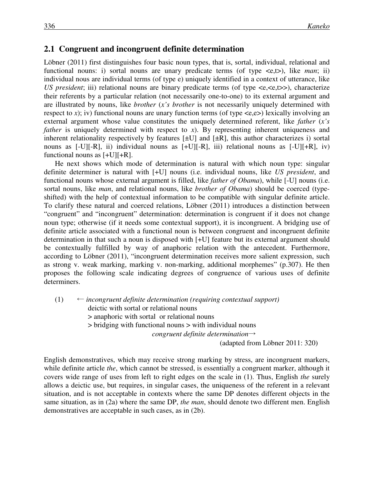#### **2.1 Congruent and incongruent definite determination**

Löbner (2011) first distinguishes four basic noun types, that is, sortal, individual, relational and functional nouns: i) sortal nouns are unary predicate terms (of type  $\langle e, t \rangle$ ), like *man*; ii) individual nous are individual terms (of type e) uniquely identified in a context of utterance, like *US president*; iii) relational nouns are binary predicate terms (of type  $\langle e, \langle e, t \rangle \rangle$ ), characterize their referents by a particular relation (not necessarily one-to-one) to its external argument and are illustrated by nouns, like *brother* (*x's brother* is not necessarily uniquely determined with respect to *x*); iv) functional nouns are unary function terms (of type  $\langle e, e \rangle$ ) lexically involving an external argument whose value constitutes the uniquely determined referent, like *father* (*x's father* is uniquely determined with respect to *x*). By representing inherent uniqueness and inherent relationality respectively by features  $[\pm U]$  and  $[\pm R]$ , this author characterizes i) sortal nouns as  $[-U][-R]$ , ii) individual nouns as  $[+U][-R]$ , iii) relational nouns as  $[-U][+R]$ , iv) functional nouns as [+U][+R].

He next shows which mode of determination is natural with which noun type: singular definite determiner is natural with [+U] nouns (i.e. individual nouns, like *US president*, and functional nouns whose external argument is filled, like *father of Obama*), while [-U] nouns (i.e. sortal nouns, like *man*, and relational nouns, like *brother of Obama*) should be coerced (typeshifted) with the help of contextual information to be compatible with singular definite article. To clarify these natural and coerced relations, Löbner (2011) introduces a distinction between "congruent" and "incongruent" determination: determination is congruent if it does not change noun type; otherwise (if it needs some contextual support), it is incongruent. A bridging use of definite article associated with a functional noun is between congruent and incongruent definite determination in that such a noun is disposed with [+U] feature but its external argument should be contextually fulfilled by way of anaphoric relation with the antecedent. Furthermore, according to Löbner (2011), "incongruent determination receives more salient expression, such as strong v. weak marking, marking v. non-marking, additional morphemes" (p.307). He then proposes the following scale indicating degrees of congruence of various uses of definite determiners.

 $(1)$   $\leftarrow$  *incongruent definite determination (requiring contextual support)* deictic with sortal or relational nouns > anaphoric with sortal or relational nouns > bridging with functional nouns > with individual nouns *congruent definite determination*→ (adapted from Löbner 2011: 320)

English demonstratives, which may receive strong marking by stress, are incongruent markers, while definite article *the*, which cannot be stressed, is essentially a congruent marker, although it covers wide range of uses from left to right edges on the scale in (1). Thus, English *the* surely allows a deictic use, but requires, in singular cases, the uniqueness of the referent in a relevant situation, and is not acceptable in contexts where the same DP denotes different objects in the same situation, as in (2a) where the same DP, *the man*, should denote two different men. English demonstratives are acceptable in such cases, as in (2b).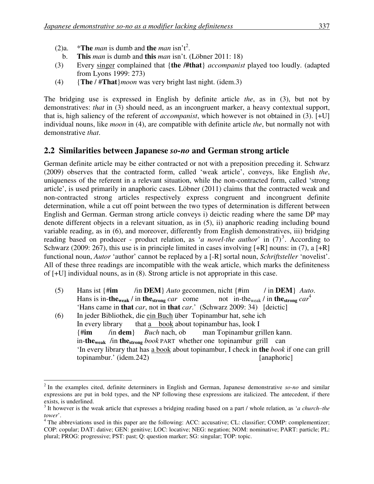- (2)a.  $*$ **The** *man* is dumb and **the** *man* isn't<sup>2</sup>.
- b. **This** *man* is dumb and **this** *man* isn't. (Löbner 2011: 18)
- (3) Every singer complained that {**the /#that**} *accompanist* played too loudly. (adapted from Lyons 1999: 273)
- (4) {**The** / #**That**}*moon* was very bright last night. (idem.3)

The bridging use is expressed in English by definite article *the*, as in (3), but not by demonstratives: *that* in (3) should need, as an incongruent marker, a heavy contextual support, that is, high saliency of the referent of *accompanist*, which however is not obtained in (3). [+U] individual nouns, like *moon* in (4), are compatible with definite article *the*, but normally not with demonstrative *that*.

### **2.2 Similarities between Japanese** *so-no* **and German strong article**

German definite article may be either contracted or not with a preposition preceding it. Schwarz (2009) observes that the contracted form, called 'weak article', conveys, like English *the*, uniqueness of the referent in a relevant situation, while the non-contracted form, called 'strong article', is used primarily in anaphoric cases. Löbner (2011) claims that the contracted weak and non-contracted strong articles respectively express congruent and incongruent definite determination, while a cut off point between the two types of determination is different between English and German. German strong article conveys i) deictic reading where the same DP may denote different objects in a relevant situation, as in (5), ii) anaphoric reading including bound variable reading, as in (6), and moreover, differently from English demonstratives, iii) bridging reading based on producer - product relation, as '*a novel-the author*' in  $(7)^3$ . According to Schwarz (2009: 267), this use is in principle limited in cases involving  $[+R]$  nouns: in (7), a  $[+R]$ functional noun, *Autor* 'author' cannot be replaced by a [-R] sortal noun, *Schriftsteller* 'novelist'. All of these three readings are incompatible with the weak article, which marks the definiteness of [+U] individual nouns, as in (8). Strong article is not appropriate in this case.

- (5) Hans ist {#**im** /in **DEM**} *Auto* gecommen, nicht {#im / in **DEM**} *Auto*. Hans is in-the<sub>weak</sub> / in the<sub>strong</sub> *car* come not in-the<sub>weak</sub> / in the strong  $car^4$ 'Hans came in **that** *car*, not in **that** *car*.' (Schwarz 2009: 34) [deictic]
- (6) In jeder Bibliothek, die ein Buch über Topinambur hat, sehe ich In every library that a book about topinambur has, look I {#**im** /in **dem**} *Buch* nach, ob man Topinambur grillen kann. in-**theweak** /in **thestrong** *book* PART whether one topinambur grill can 'In every library that has a book about topinambur, I check in **the** *book* if one can grill topinambur.' (idem.242) [anaphoric]

<sup>1</sup> 2 In the examples cited, definite determiners in English and German, Japanese demonstrative *so-no* and similar expressions are put in bold types, and the NP following these expressions are italicized. The antecedent, if there exists, is underlined.

<sup>3</sup> It however is the weak article that expresses a bridging reading based on a part / whole relation, as '*a church–the tower*'.

<sup>&</sup>lt;sup>4</sup> The abbreviations used in this paper are the following: ACC: accusative; CL: classifier; COMP: complementizer; COP: copular; DAT: dative; GEN: genitive; LOC: locative; NEG: negation; NOM: nominative; PART: particle; PL: plural; PROG: progressive; PST: past; Q: question marker; SG: singular; TOP: topic.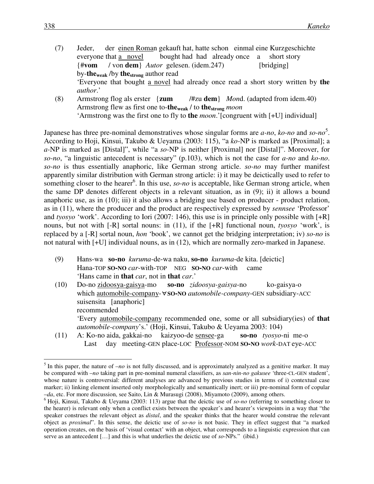- (7) Jeder, der einen Roman gekauft hat, hatte schon einmal eine Kurzgeschichte everyone that a novel bought had had already once a short story {#**vom** / von **dem**} *Autor* gelesen. (idem.247) [bridging] by-**theweak** /by **thestrong** author read 'Everyone that bought a novel had already once read a short story written by **the** *author*.' (8) Armstrong flog als erster {**zum** /#zu **dem**} *Mon*d. (adapted from idem.40)
- Armstrong flew as first one to-**theweak** / to **thestrong** *moon* 'Armstrong was the first one to fly to **the** *moon*.'[congruent with [+U] individual]

Japanese has three pre-nominal demonstratives whose singular forms are *a-no*, *ko-no* and *so-no* 5 . According to Hoji, Kinsui, Takubo & Ueyama (2003: 115), "a *ko-*NP is marked as [Proximal]; a *a-*NP is marked as [Distal]", while "a *so-*NP is neither [Proximal] nor [Distal]". Moreover, for *so-no*, "a linguistic antecedent is necessary" (p.103), which is not the case for *a-no* and *ko-no*. *so-no* is thus essentially anaphoric, like German strong article. *so-no* may further manifest apparently similar distribution with German strong article: i) it may be deictically used to refer to something closer to the hearer<sup>6</sup>. In this use, *so-no* is acceptable, like German strong article, when the same DP denotes different objects in a relevant situation, as in (9); ii) it allows a bound anaphoric use, as in (10); iii) it also allows a bridging use based on producer - product relation, as in (11), where the producer and the product are respectively expressed by *sennsee* 'Professor' and *tyosyo* 'work'. According to Iori (2007: 146), this use is in principle only possible with [+R] nouns, but not with [-R] sortal nouns: in (11), if the [+R] functional noun, *tyosyo* 'work', is replaced by a [-R] sortal noun, *hon* 'book', we cannot get the bridging interpretation; iv) *so-no* is not natural with [+U] individual nouns, as in (12), which are normally zero-marked in Japanese.

- (9) Hans-wa **so-no** *kuruma*-de-wa naku, **so-no** *kuruma*-de kita. [deictic] Hana-TOP **SO-NO** *car*-with-TOP NEG **SO-NO** *car*-with came 'Hans came in **that** *car*, not in **that** *car*.'
- (10) Do-no zidoosya-gaisya-mo **so-no** *zidoosya-gaisya*-no ko-gaisya-o which automobile-company-∀**SO-NO** *automobile-company*-GEN subsidiary-ACC suisensita [anaphoric] recommended 'Every automobile-company recommended one, some or all subsidiary(ies) of **that** *automobile-company*'s.' (Hoji, Kinsui, Takubo & Ueyama 2003: 104)
- (11) A: Ko-no aida, gakkai-no kaizyoo-de sensee-ga **so-no** *tyosyo*-ni me-o Last day meeting-GEN place-LOC Professor-NOM **SO-NO** *work*-DAT eye-ACC

<u>.</u>

 $<sup>5</sup>$  In this paper, the nature of  $-no$  is not fully discussed, and is approximately analyzed as a genitive marker. It may</sup> be compared with –*no* taking part in pre-nominal numeral classifiers, as *san-nin-no gakusee* 'three-CL-GEN student', whose nature is controversial: different analyses are advanced by previous studies in terms of i) contextual case marker; ii) linking element inserted only morphologically and semantically inert; or iii) pre-nominal form of copular –*da*, etc. For more discussion, see Saito, Lin & Murasugi (2008), Miyamoto (2009), among others.

<sup>6</sup> Hoji, Kinsui, Takubo & Ueyama (2003: 113) argue that the deictic use of *so-no* (referring to something closer to the hearer) is relevant only when a conflict exists between the speaker's and hearer's viewpoints in a way that "the speaker construes the relevant object as *distal*, and the speaker thinks that the hearer would construe the relevant object as *proximal*". In this sense, the deictic use of *so-no* is not basic. They in effect suggest that "a marked operation creates, on the basis of 'visual contact' with an object, what corresponds to a linguistic expression that can serve as an antecedent […] and this is what underlies the deictic use of *so*-NPs." (ibid.)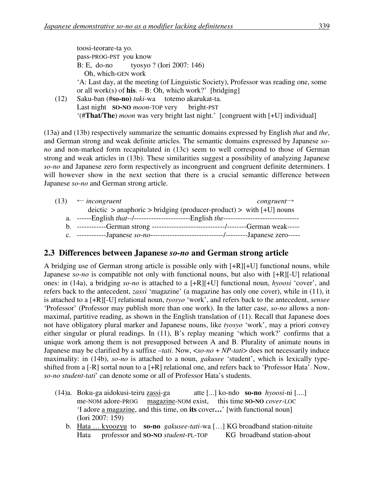toosi-teorare-ta yo. pass-PROG-PST you know B: E, do-no tyosyo ? (Iori 2007: 146) Oh, which-GEN work 'A: Last day, at the meeting (of Linguistic Society), Professor was reading one, some or all work(s) of **his**.  $- B$ : Oh, which work?' [bridging] (12) Saku-ban (#**so-no)** *tuki*-wa totemo akarukat-ta.

Last night **SO-NO** *moon*-TOP very bright-PST '(#**That**/**The**) *moon* was very bright last night.' [congruent with [+U] individual]

(13a) and (13b) respectively summarize the semantic domains expressed by English *that* and *the*, and German strong and weak definite articles. The semantic domains expressed by Japanese *sono* and non-marked form recapitulated in (13c) seem to well correspond to those of German strong and weak articles in (13b). These similarities suggest a possibility of analyzing Japanese *so-no* and Japanese zero form respectively as incongruent and congruent definite determiners. I will however show in the next section that there is a crucial semantic difference between Japanese *so-no* and German strong article.

| (13) | $\leftarrow$ incongruent                                                       | $congruent \rightarrow$ |
|------|--------------------------------------------------------------------------------|-------------------------|
|      | $\alpha$ deictic > anaphoric > bridging (producer-product) > with $[+U]$ nouns |                         |
|      |                                                                                |                         |
|      |                                                                                |                         |
|      |                                                                                |                         |

### **2.3 Differences between Japanese** *so-no* **and German strong article**

A bridging use of German strong article is possible only with [+R][+U] functional nouns, while Japanese *so-no* is compatible not only with functional nouns, but also with [+R][-U] relational ones: in (14a), a bridging *so-no* is attached to a [+R][+U] functional noun, *hyoosi* 'cover', and refers back to the antecedent, *zassi* 'magazine' (a magazine has only one cover), while in (11), it is attached to a [+R][-U] relational noun, *tyosyo* 'work', and refers back to the antecedent, *sensee* 'Professor' (Professor may publish more than one work). In the latter case, *so-no* allows a nonmaximal, partitive reading, as shown in the English translation of (11). Recall that Japanese does not have obligatory plural marker and Japanese nouns, like *tyosyo* 'work', may a priori convey either singular or plural readings. In (11), B's replay meaning 'which work?' confirms that a unique work among them is not presupposed between A and B. Plurality of animate nouns in Japanese may be clarified by a suffixe –*tati*. Now, <*so-no* + *NP-tati*> does not necessarily induce maximality: in (14b), *so-no* is attached to a noun, *gakusee* 'student', which is lexically typeshifted from a [-R] sortal noun to a [+R] relational one, and refers back to 'Professor Hata'. Now, *so-no student-tati*' can denote some or all of Professor Hata's students.

- (14)a. Boku-ga aidokusi-teiru zassi-ga atte [...] ko-ndo **so-no** *hyoosi*-ni [....] me-NOM adore-PROG magazine-NOM exist, this time **SO-NO** *cover*-LOC 'I adore a magazine, and this time, on **its** cover**…**' [with functional noun] (Iori 2007: 159)
	- b. Hata … kyoozyu to **so-no** *gakusee-tati*-wa […] KG broadband station-nituite Hata professor and **SO-NO** *student*-PL-TOP KG broadband station-about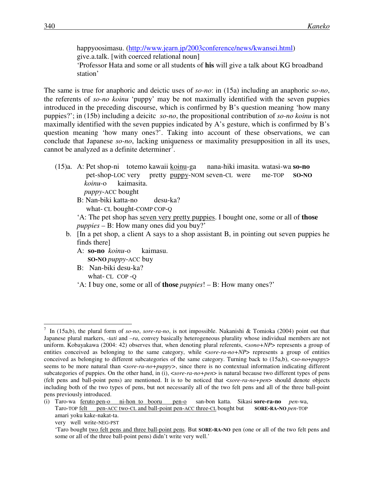happyoosimasu. (http://www.jearn.jp/2003conference/news/kwansei.html) give.a.talk. [with coerced relational noun] 'Professor Hata and some or all students of **his** will give a talk about KG broadband station'

The same is true for anaphoric and deictic uses of *so-no*: in (15a) including an anaphoric *so-no*, the referents of *so-no koinu* 'puppy' may be not maximally identified with the seven puppies introduced in the preceding discourse, which is confirmed by B's question meaning 'how many puppies?'; in (15b) including a deicitc *so-no*, the propositional contribution of *so-no koinu* is not maximally identified with the seven puppies indicated by A's gesture, which is confirmed by B's question meaning 'how many ones?'. Taking into account of these observations, we can conclude that Japanese *so-no*, lacking uniqueness or maximality presupposition in all its uses, cannot be analyzed as a definite determiner<sup>7</sup>.

(15)a. A: Pet shop-ni totemo kawaii koinu-ga nana-hiki imasita. watasi-wa **so-no** pet-shop-LOC very pretty puppy-NOM seven-CL were me-TOP **SO-NO** *koinu*-o kaimasita. *puppy*-ACC bought B: Nan-biki katta-no desu-ka?

what- CL bought-COMP COP-Q

'A: The pet shop has seven very pretty puppies. I bought one, some or all of **those** *puppies* – B: How many ones did you buy?'

- b. [In a pet shop, a client A says to a shop assistant B, in pointing out seven puppies he finds there]
	- A: **so-no** *koinu*-o kaimasu. **SO-NO** *puppy*-ACC buy
	- B: Nan-biki desu-ka? what- CL COP -Q

'A: I buy one, some or all of **those** *puppies*! – B: How many ones?'

<sup>7</sup> In (15a,b), the plural form of *so-no*, *sore-ra-no*, is not impossible. Nakanishi & Tomioka (2004) point out that Japanese plural markers, *-tati* and *–ra*, convey basically heterogeneous plurality whose individual members are not uniform. Kobayakawa (2004: 42) observes that, when denoting plural referents, <*sono+NP*> represents a group of entities conceived as belonging to the same category, while <*sore-ra-no+NP*> represents a group of entities conceived as belonging to different subcategories of the same category. Turning back to (15a,b), <*so-no*+*puppy*> seems to be more natural than <*sore-ra-no+puppy>*, since there is no contextual information indicating different subcategories of puppies. On the other hand, in (i), <*sore-ra-no+pen*> is natural because two different types of pens (felt pens and ball-point pens) are mentioned. It is to be noticed that <*sore-ra-no+pen*> should denote objects including both of the two types of pens, but not necessarily all of the two felt pens and all of the three ball-point pens previously introduced.

<sup>(</sup>i) Taro-wa feruto pen-o ni-hon to booru pen-o san-bon katta. Sikasi **sore-ra-no** *pen*-wa, Taro-TOP felt pen-ACC two-CL and ball-point pen-ACC three-CL bought but **SORE-RA-NO** *pen*-TOP amari yoku kake-nakat-ta.

very well write-NEG-PST

<sup>&#</sup>x27;Taro bought two felt pens and three ball-point pens. But **SORE-RA-NO** pen (one or all of the two felt pens and some or all of the three ball-point pens) didn't write very well.'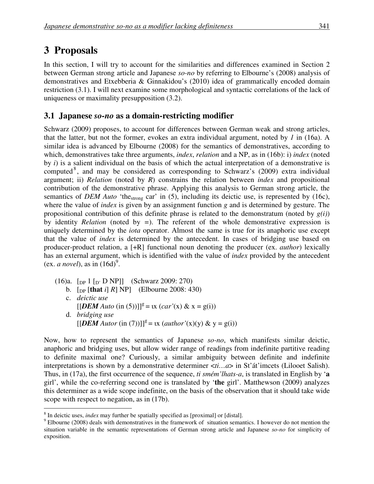# **3 Proposals**

 $\overline{a}$ 

In this section, I will try to account for the similarities and differences examined in Section 2 between German strong article and Japanese *so-no* by referring to Elbourne's (2008) analysis of demonstratives and Etxebberia & Ginnakidou's (2010) idea of grammatically encoded domain restriction (3.1). I will next examine some morphological and syntactic correlations of the lack of uniqueness or maximality presupposition (3.2).

### **3.1 Japanese** *so-no* **as a domain-restricting modifier**

Schwarz (2009) proposes, to account for differences between German weak and strong articles, that the latter, but not the former, evokes an extra individual argument, noted by *1* in (16a). A similar idea is advanced by Elbourne (2008) for the semantics of demonstratives, according to which, demonstratives take three arguments, *index*, *relation* and a NP, as in (16b): i) *index* (noted by *i*) is a salient individual on the basis of which the actual interpretation of a demonstrative is computed<sup>8</sup>, and may be considered as corresponding to Schwarz's (2009) extra individual argument; ii) *Relation* (noted by *R*) constrains the relation between *index* and propositional contribution of the demonstrative phrase. Applying this analysis to German strong article, the semantics of *DEM Auto* 'the<sub>strong</sub> car' in (5), including its deictic use, is represented by (16c), where the value of *index* is given by an assignment function *g* and is determined by gesture. The propositional contribution of this definite phrase is related to the demonstratum (noted by *g(i)*) by identity *Relation* (noted by *=*). The referent of the whole demonstrative expression is uniquely determined by the *iota* operator. Almost the same is true for its anaphoric use except that the value of *index* is determined by the antecedent. In cases of bridging use based on producer-product relation, a [+R] functional noun denoting the producer (ex. *author*) lexically has an external argument, which is identified with the value of *index* provided by the antecedent (ex. *a novel*), as in  $(16d)^9$ .

 $(16)a$ . [DP 1 [D' D NP]] (Schwarz 2009: 270) b.  $[p_F[\text{that } i] \, R] \, NP]$  (Elbourne 2008: 430) c. *deictic use*  $[[*DEM Auto* (in (5))]$ <sup>g</sup> = ιx (*car'*(x) & x = g(i)) d. *bridging use*  $[[DEM]$  *Autor* (in (7))]]<sup>g</sup> = *ιx* (*author'*(x)(y) & y = g(i))

Now, how to represent the semantics of Japanese *so-no*, which manifests similar deictic, anaphoric and bridging uses, but allow wider range of readings from indefinite partitive reading to definite maximal one? Curiously, a similar ambiguity between definite and indefinite interpretations is shown by a demonstrative determiner  $\langle ti...a \rangle$  in St'át'imcets (Lilooet Salish). Thus, in (17a), the first occurrence of the sequence, *ti smém'lhats-a*, is translated in English by '**a** girl', while the co-referring second one is translated by '**the** girl'. Matthewson (2009) analyzes this determiner as a wide scope indefinite, on the basis of the observation that it should take wide scope with respect to negation, as in (17b).

<sup>8</sup> In deictic uses, *index* may further be spatially specified as [proximal] or [distal].

 $9$  Elbourne (2008) deals with demonstratives in the framework of situation semantics. I however do not mention the situation variable in the semantic representations of German strong article and Japanese *so-no* for simplicity of exposition.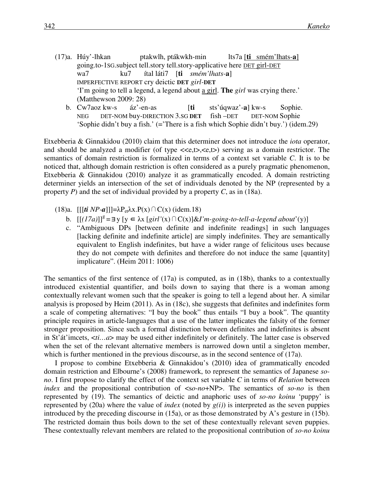- (17)a. Húy'-lhkan ptakwlh, ptákwkh-min lts7a [**ti** smém'lhats-**a**] going.to-1SG.subject tell.story tell.story-applicative here DET girl-DET wa7 ku7 ítal láti7 [**ti** *smém'lhats-***a**] IMPERFECTIVE REPORT cry deictic **DET** *girl-***DET** 'I'm going to tell a legend, a legend about a girl. **The** *girl* was crying there.' (Matthewson 2009: 28)
	- b. Cw7aoz kw-s áz'-en-as [**ti** sts'úqwaz'-**a**] kw-s Sophie. NEG DET-NOM buy-DIRECTION 3.SG **DET** fish –DET DET-NOM Sophie 'Sophie didn't buy a fish.' (='There is a fish which Sophie didn't buy.') (idem.29)

Etxebberia & Ginnakidou (2010) claim that this determiner does not introduce the *iota* operator, and should be analyzed a modifier (of type  $\langle\langle e,t\rangle,\langle e,t\rangle)$ ) serving as a domain restrictor. The semantics of domain restriction is formalized in terms of a context set variable *C*. It is to be noticed that, although domain restriction is often considered as a purely pragmatic phenomenon, Etxebberia & Ginnakidou (2010) analyze it as grammatically encoded. A domain restricting determiner yields an intersection of the set of individuals denoted by the NP (represented by a property *P*) and the set of individual provided by a property *C*, as in (18a).

- (18)a.  $[[[*t*i NP-a]]]=\lambda P_{et}\lambda x.P(x)\cap C(x)$  (idem.18)
	- b.  $[[(17a)]]^g = \exists y [y \in \lambda x [girl'(x) \cap C(x)] \& I'm\text{-}going\text{-}to\text{-}tell\text{-}a\text{-}legend about'(y)]$
	- c. "Ambiguous DPs [between definite and indefinite readings] in such languages [lacking definite and indefinite article] are simply indefinites. They are semantically equivalent to English indefinites, but have a wider range of felicitous uses because they do not compete with definites and therefore do not induce the same [quantity] implicature". (Heim 2011: 1006)

The semantics of the first sentence of (17a) is computed, as in (18b), thanks to a contextually introduced existential quantifier, and boils down to saying that there is a woman among contextually relevant women such that the speaker is going to tell a legend about her. A similar analysis is proposed by Heim (2011). As in (18c), she suggests that definites and indefinites form a scale of competing alternatives: "I buy the book" thus entails "I buy a book". The quantity principle requires in article-languages that a use of the latter implicates the falsity of the former stronger proposition. Since such a formal distinction between definites and indefinites is absent in St'át'imcets, <*ti…a*> may be used either indefinitely or definitely. The latter case is observed when the set of the relevant alternative members is narrowed down until a singleton member, which is further mentioned in the previous discourse, as in the second sentence of (17a).

I propose to combine Etxebberia & Ginnakidou's (2010) idea of grammatically encoded domain restriction and Elbourne's (2008) framework, to represent the semantics of Japanese *sono*. I first propose to clarify the effect of the context set variable *C* in terms of *Relation* between *index* and the propositional contribution of  $\langle so-no+NP \rangle$ . The semantics of *so-no* is then represented by (19). The semantics of deictic and anaphoric uses of *so-no koinu* 'puppy' is represented by (20a) where the value of *index* (noted by *g(i)*) is interpreted as the seven puppies introduced by the preceding discourse in (15a), or as those demonstrated by A's gesture in (15b). The restricted domain thus boils down to the set of these contextually relevant seven puppies. These contextually relevant members are related to the propositional contribution of *so-no koinu*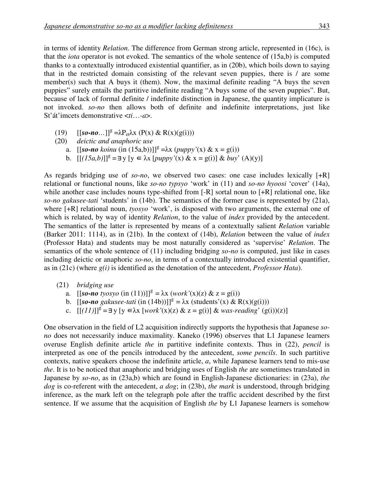in terms of identity *Relation*. The difference from German strong article, represented in (16c), is that the *iota* operator is not evoked. The semantics of the whole sentence of (15a,b) is computed thanks to a contextually introduced existential quantifier, as in (20b), which boils down to saying that in the restricted domain consisting of the relevant seven puppies, there is / are some member(s) such that A buys it (them). Now, the maximal definite reading "A buys the seven puppies" surely entails the partitive indefinite reading "A buys some of the seven puppies". But, because of lack of formal definite / indefinite distinction in Japanese, the quantity implicature is not invoked. *so-no* then allows both of definite and indefinite interpretations, just like St'át'imcets demonstrative <*ti*…*-a*>.

(19)  $[[so-no...]]^g = \lambda P_{et} \lambda x (P(x) \& R(x)(g(i)))$ 

(20) *deictic and anaphoric use*

- a.  $[[so-no\, koinu\, (in (15a,b))]]^g = \lambda x \, (puppy'(x) \& x = g(i))$
- b.  $[[(15a,b)]]^g = \exists y [y \in \lambda x [pupp y'(x) \& x = g(i)] \& buy' (A)(y)]$

As regards bridging use of *so-no*, we observed two cases: one case includes lexically [+R] relational or functional nouns, like *so-no typsyo* 'work' in (11) and *so-no hyoosi* 'cover' (14a), while another case includes nouns type-shifted from [-R] sortal noun to [+R] relational one, like *so-no gakusee-tati* 'students' in (14b). The semantics of the former case is represented by (21a), where [+R] relational noun, *tyosyo* 'work', is disposed with two arguments, the external one of which is related, by way of identity *Relation*, to the value of *index* provided by the antecedent. The semantics of the latter is represented by means of a contextually salient *Relation* variable (Barker 2011: 1114), as in (21b). In the context of (14b), *Relation* between the value of *index* (Professor Hata) and students may be most naturally considered as 'supervise' *Relation*. The semantics of the whole sentence of (11) including bridging *so-no* is computed, just like in cases including deictic or anaphoric *so-no*, in terms of a contextually introduced existential quantifier, as in (21c) (where *g(i)* is identified as the denotation of the antecedent, *Professor Hata*).

- (21) *bridging use*
- a.  $[[so-no\ tyosyo\ (in (11))]^g = \lambda x\ (work'(x)(z)\ \&\ z = g(i))$
- b.  $[[so-no\;gakusee-tati\; (in\; (14b))]^g = \lambda x\; (students\; (x)\& R(x)(g(i)))$ 
	- c.  $[[(11)]^g = \exists y [y \in \lambda x [work'(x)(z) \& z = g(i)] \& was-reading' (g(i))(z)]$

One observation in the field of L2 acquisition indirectly supports the hypothesis that Japanese *sono* does not necessarily induce maximality. Kaneko (1996) observes that L1 Japanese learners overuse English definite article *the* in partitive indefinite contexts. Thus in (22), *pencil* is interpreted as one of the pencils introduced by the antecedent, *some pencils*. In such partitive contexts, native speakers choose the indefinite article, *a*, while Japanese learners tend to mis-use *the*. It is to be noticed that anaphoric and bridging uses of English *the* are sometimes translated in Japanese by *so-no*, as in (23a,b) which are found in English-Japanese dictionaries: in (23a), *the dog* is co-referent with the antecedent, *a dog*; in (23b), *the mark* is understood, through bridging inference, as the mark left on the telegraph pole after the traffic accident described by the first sentence. If we assume that the acquisition of English *the* by L1 Japanese learners is somehow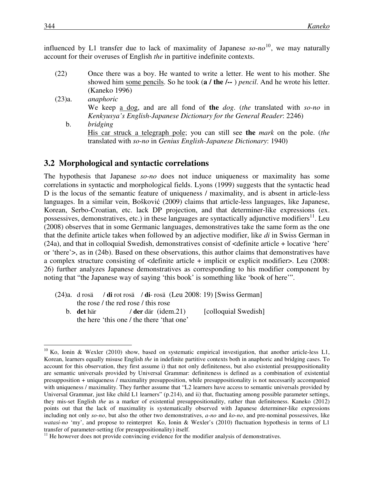influenced by L1 transfer due to lack of maximality of Japanese *so-no* <sup>10</sup>, we may naturally account for their overuses of English *the* in partitive indefinite contexts.

- (22) Once there was a boy. He wanted to write a letter. He went to his mother. She showed him some pencils. So he took (**a / the /--** ) *pencil*. And he wrote his letter. (Kaneko 1996)
- (23)a. *anaphoric* We keep a dog, and are all fond of **the** *dog*. (*the* translated with *so-no* in *Kenkyusya's English-Japanese Dictionary for the General Reader*: 2246) b. *bridging* His car struck a telegraph pole; you can still see **the** *mark* on the pole. (*the* translated with *so-no* in *Genius English-Japanese Dictionary*: 1940)

#### **3.2 Morphological and syntactic correlations**

The hypothesis that Japanese *so-no* does not induce uniqueness or maximality has some correlations in syntactic and morphological fields. Lyons (1999) suggests that the syntactic head D is the locus of the semantic feature of uniqueness / maximality, and is absent in article-less languages. In a similar vein, Bošković (2009) claims that article-less languages, like Japanese, Korean, Serbo-Croatian, etc. lack DP projection, and that determiner-like expressions (ex. possessives, demonstratives, etc.) in these languages are syntactically adjunctive modifiers<sup>11</sup>. Leu (2008) observes that in some Germanic languages, demonstratives take the same form as the one that the definite article takes when followed by an adjective modifier, like *di* in Swiss German in (24a), and that in colloquial Swedish, demonstratives consist of <definite article + locative 'here' or 'there'>, as in (24b). Based on these observations, this author claims that demonstratives have a complex structure consisting of <definite article + implicit or explicit modifier>. Leu (2008: 26) further analyzes Japanese demonstratives as corresponding to his modifier component by noting that "the Japanese way of saying 'this book' is something like 'book of here'".

- (24)a. d rosä / **di** rot rosä / **di** rosä (Leu 2008: 19) [Swiss German] the rose / the red rose / this rose
	- b. **det** här / **der** där (idem.21) [colloquial Swedish] the here 'this one / the there 'that one'

 $10$  Ko, Ionin & Wexler (2010) show, based on systematic empirical investigation, that another article-less L1, Korean, learners equally misuse English *the* in indefinite partitive contexts both in anaphoric and bridging cases. To account for this observation, they first assume i) that not only definiteness, but also existential presuppositionality are semantic universals provided by Universal Grammar: definiteness is defined as a combination of existential presupposition + uniqueness / maximality presupposition, while presuppositionality is not necessarily accompanied with uniqueness / maximality. They further assume that "L2 learners have access to semantic universals provided by Universal Grammar, just like child L1 learners" (p.214), and ii) that, fluctuating among possible parameter settings, they mis-set English *the* as a marker of existential presuppositionality, rather than definiteness. Kaneko (2012) points out that the lack of maximality is systematically observed with Japanese determiner-like expressions including not only *so-no*, but also the other two demonstratives, *a-no* and *ko-no*, and pre-nominal possessives, like *watasi-no* 'my', and propose to reinterpret Ko, Ionin & Wexler's (2010) fluctuation hypothesis in terms of L1 transfer of parameter-setting (for presuppositionality) itself.

<sup>&</sup>lt;sup>11</sup> He however does not provide convincing evidence for the modifier analysis of demonstratives.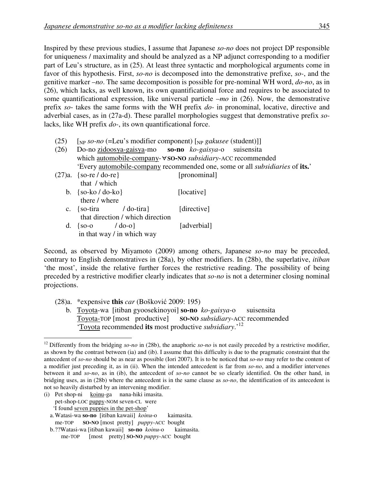Inspired by these previous studies, I assume that Japanese *so-no* does not project DP responsible for uniqueness / maximality and should be analyzed as a NP adjunct corresponding to a modifier part of Leu's structure, as in (25). At least three syntactic and morphological arguments come in favor of this hypothesis. First, *so-no* is decomposed into the demonstrative prefixe, *so-*, and the genitive marker –*no*. The same decomposition is possible for pre-nominal WH word, *do-no*, as in (26), which lacks, as well known, its own quantificational force and requires to be associated to some quantificational expression, like universal particle –*mo* in (26). Now, the demonstrative prefix *so*- takes the same forms with the WH prefix *do-* in pronominal, locative, directive and adverbial cases, as in (27a-d). These parallel morphologies suggest that demonstrative prefix *so*lacks, like WH prefix *do-*, its own quantificational force.

- (25)  $\left[\n\begin{array}{cc}\n\text{N} & \text{for } n\text{,} \\
\text{N} & \text{for } n\text{,} \\
\text{N} & \text{for } n\text{,} \\
\text{N} & \text{for } n\text{,} \\
\text{N} & \text{for } n\text{,} \\
\text{N} & \text{for } n\text{,} \\
\text{N} & \text{for } n\text{,} \\
\text{N} & \text{for } n\text{,} \\
\text{N} & \text{for } n\text{,} \\
\text{N} & \text{for } n\text{,} \\
\text{N} & \text{for } n\text{,} \\
\text{N}$
- (26) Do-no zidoosya-gaisya-mo **so-no** *ko-gaisya*-o suisensita which automobile-company-∀**SO-NO** *subsidiary*-ACC recommended 'Every automobile-company recommended one, some or all *subsidiaries* of **its.**' (27)a. {so-re / do-re} [pronominal]
	- that / which b.  $\{so-ko / do-ko\}$  [locative] there / where c. {so-tira / do-tira} [directive] that direction / which direction d.  $\{so-o \mid \text{do-o}\}\$  [adverbial]
		- in that way / in which way

Second, as observed by Miyamoto (2009) among others, Japanese *so-no* may be preceded, contrary to English demonstratives in (28a), by other modifiers. In (28b), the superlative, *itiban* 'the most', inside the relative further forces the restrictive reading. The possibility of being preceded by a restrictive modifier clearly indicates that *so-no* is not a determiner closing nominal projections.

(28)a. \*expensive **this** *car* (Bošković 2009: 195)

b. Toyota-wa [itiban gyoosekinoyoi] **so-no** *ko-gaisya*-o suisensita Toyota-TOP [most productive] **SO-NO** *subsidiary*-ACC recommended 'Toyota recommended **its** most productive *subsidiary*.'<sup>12</sup>

(i) Pet shop-ni koinu-ga nana-hiki imasita. pet-shop-LOC puppy-NOM seven-CL were 'I found seven puppies in the pet-shop'

- a. Watasi-wa **so-no** [itiban kawaii] *koinu*-o kaimasita. me-TOP **SO-NO** [most pretty] *puppy*-ACC bought
- b. ??Watasi-wa [itiban kawaii] **so-no** *koinu*-o kaimasita. me-TOP [most pretty] **SO-NO** *puppy*-ACC bought

<sup>&</sup>lt;sup>12</sup> Differently from the bridging *so-no* in (28b), the anaphoric *so-no* is not easily preceded by a restrictive modifier, as shown by the contrast between (ia) and (ib). I assume that this difficulty is due to the pragmatic constraint that the antecedent of *so-no* should be as near as possible (Iori 2007). It is to be noticed that *so-no* may refer to the content of a modifier just preceding it, as in (ii). When the intended antecedent is far from *so-no*, and a modifier intervenes between it and *so-no*, as in (ib), the antecedent of *so-no* cannot be so clearly identified. On the other hand, in bridging uses, as in (28b) where the antecedent is in the same clause as *so-no*, the identification of its antecedent is not so heavily disturbed by an intervening modifier.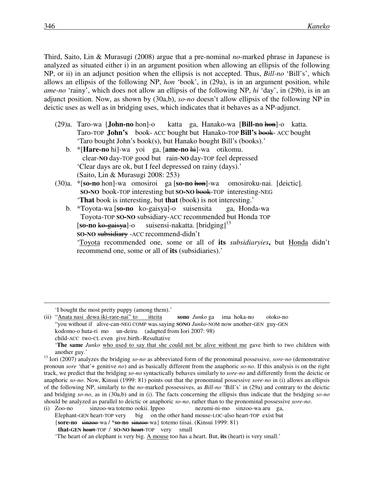Third, Saito, Lin & Murasugi (2008) argue that a pre-nominal *no*-marked phrase in Japanese is analyzed as situated either i) in an argument position when allowing an ellipsis of the following NP, or ii) in an adjunct position when the ellipsis is not accepted. Thus, *Bill-no* 'Bill's', which allows an ellipsis of the following NP, *hon* 'book', in (29a), is in an argument position, while *ame-no* 'rainy', which does not allow an ellipsis of the following NP, *hi* 'day', in (29b), is in an adjunct position. Now, as shown by (30a,b), *so*-*no* doesn't allow ellipsis of the following NP in deictic uses as well as in bridging uses, which indicates that it behaves as a NP-adjunct.

- (29)a. Taro-wa [**John-no** hon]-o katta ga, Hanako-wa [**Bill-no** hon]-o katta. Taro-TOP **John's** book- ACC bought but Hanako-TOP **Bill's** book- ACC bought 'Taro bought John's book(s), but Hanako bought Bill's (books).'
	- b. \*[**Hare-no** hi]-wa yoi ga, [**ame-no** hi]-wa otikomu. clear-**NO** day-TOP good but rain-**NO** day-TOP feel depressed 'Clear days are ok, but I feel depressed on rainy (days).' (Saito, Lin & Murasugi 2008: 253)
- (30)a. \*[**so-no** hon]-wa omosiroi ga [**so-no** hon]-wa omosiroku-nai. [deictic]. **SO-NO** book-TOP interesting but **SO-NO** book-TOP interesting-NEG '**That** book is interesting, but **that** (book) is not interesting.'
	- b. \*Toyota-wa [**so-no** ko-gaisya]-o suisensita ga, Honda-wa Toyota-TOP **SO-NO** subsidiary-ACC recommended but Honda TOP [**so-no** ko-gaisya]-o suisensi-nakatta. [bridging]<sup>13</sup> **SO-NO** subsidiary -ACC recommend-didn't 'Toyota recommended one, some or all of **its** *subsidiaryies***,** but Honda didn't recommend one, some or all of **its** (subsidiaries).'

'I bought the most pretty puppy (among them).'

(ii) "Anata nasi dewa iki-rare-nai" to itteita **sono** *Junko* ga ima hoka-no otoko-no "you without if alive-can-NEG COMP was.saying **SONO** *Junko*-NOM now another-GEN guy-GEN kodomo-o huta-ri mo un-deiru. (adapted from Iori 2007: 98) child-ACC two-CL even give.birth.-Resultative

<sup>&#</sup>x27;**The same** *Junko* who used to say that she could not be alive without me gave birth to two children with another guy.'

<sup>13</sup> Iori (2007) analyzes the bridging *so-no* as abbreviated form of the pronominal possessive, *sore-no* (demonstrative pronoun *sore* 'that'+ genitive *no*) and as basically different from the anaphoric *so-no*. If this analysis is on the right track, we predict that the bridging *so-no* syntactically behaves similarly to *sore-no* and differently from the deictic or anaphoric *so-no*. Now, Kinsui (1999: 81) points out that the pronominal possessive *sore-no* in (i) allows an ellipsis of the following NP, similarly to the *no*-marked possessives, as *Bill-no* 'Bill's' in (29a) and contrary to the deictic and bridging *so-no*, as in (30a,b) and in (i). The facts concerning the ellipsis thus indicate that the bridging *so-no* should be analyzed as parallel to deictic or anaphoric *so-no*, rather than to the pronominal possessive *sore-no*.

<sup>(</sup>i) Zoo-no sinzoo-wa totemo ookii. Ippoo nezumi-ni-mo sinzoo-wa aru ga, Elephant-GEN heart-TOP very big on the other hand mouse-LOC-also heart-TOP exist but {**sore-no** sinzoo-wa / \***so-no** sinzoo-wa} totemo tiisai. (Kinsui 1999: 81) **that-GEN** heart-TOP / **SO-NO** heart-TOP very small

 <sup>&#</sup>x27;The heart of an elephant is very big. A mouse too has a heart. But, **its** (heart) is very small.'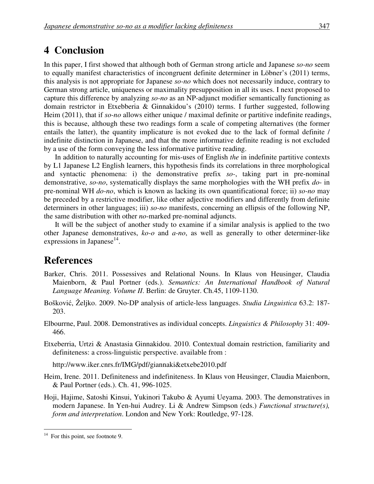## **4 Conclusion**

In this paper, I first showed that although both of German strong article and Japanese *so-no* seem to equally manifest characteristics of incongruent definite determiner in Löbner's (2011) terms, this analysis is not appropriate for Japanese *so-no* which does not necessarily induce, contrary to German strong article, uniqueness or maximality presupposition in all its uses. I next proposed to capture this difference by analyzing *so-no* as an NP-adjunct modifier semantically functioning as domain restrictor in Etxebberia & Ginnakidou's (2010) terms. I further suggested, following Heim (2011), that if *so-no* allows either unique / maximal definite or partitive indefinite readings, this is because, although these two readings form a scale of competing alternatives (the former entails the latter), the quantity implicature is not evoked due to the lack of formal definite / indefinite distinction in Japanese, and that the more informative definite reading is not excluded by a use of the form conveying the less informative partitive reading.

In addition to naturally accounting for mis-uses of English *the* in indefinite partitive contexts by L1 Japanese L2 English learners, this hypothesis finds its correlations in three morphological and syntactic phenomena: i) the demonstrative prefix *so-*, taking part in pre-nominal demonstrative, *so-no*, systematically displays the same morphologies with the WH prefix *do*- in pre-nominal WH *do-no*, which is known as lacking its own quantificational force; ii) *so-no* may be preceded by a restrictive modifier, like other adjective modifiers and differently from definite determiners in other languages; iii) *so-no* manifests, concerning an ellipsis of the following NP, the same distribution with other *no*-marked pre-nominal adjuncts.

It will be the subject of another study to examine if a similar analysis is applied to the two other Japanese demonstratives, *ko-o* and *a-no*, as well as generally to other determiner-like expressions in Japanese $^{14}$ .

## **References**

- Barker, Chris. 2011. Possessives and Relational Nouns. In Klaus von Heusinger, Claudia Maienborn, & Paul Portner (eds.). *Semantics: An International Handbook of Natural Language Meaning. Volume II*. Berlin: de Gruyter. Ch.45, 1109-1130.
- Bošković, Željko. 2009. No-DP analysis of article-less languages. *Studia Linguistica* 63.2: 187- 203.
- Elbourrne, Paul. 2008. Demonstratives as individual concepts. *Linguistics & Philosophy* 31: 409- 466.
- Etxeberria, Urtzi & Anastasia Ginnakidou. 2010. Contextual domain restriction, familiarity and definiteness: a cross-linguistic perspective. available from :

http://www.iker.cnrs.fr/IMG/pdf/giannaki&etxebe2010.pdf

- Heim, Irene. 2011. Definiteness and indefiniteness. In Klaus von Heusinger, Claudia Maienborn, & Paul Portner (eds.). Ch. 41, 996-1025.
- Hoji, Hajime, Satoshi Kinsui, Yukinori Takubo & Ayumi Ueyama. 2003. The demonstratives in modern Japanese. In Yen-hui Audrey. Li & Andrew Simpson (eds.) *Functional structure(s), form and interpretation*. London and New York: Routledge, 97-128.

For this point, see footnote 9.